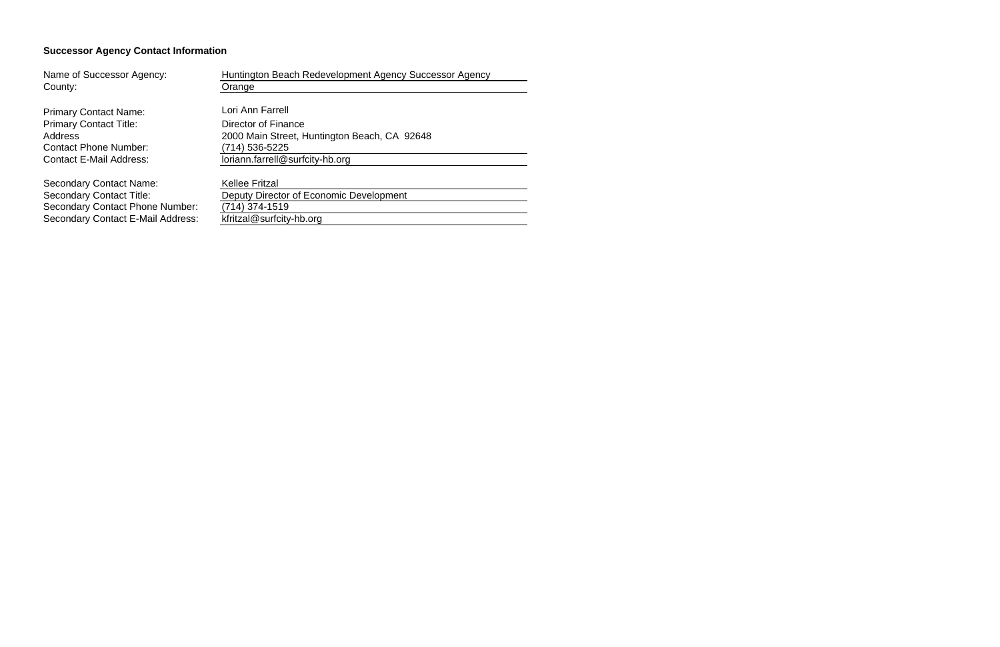# **Successor Agency Contact Information**

| Name of Successor Agency:                | Huntington Beach Redevelopment Agency Successor Agency |
|------------------------------------------|--------------------------------------------------------|
| County:                                  | Orange                                                 |
|                                          |                                                        |
| <b>Primary Contact Name:</b>             | Lori Ann Farrell                                       |
| <b>Primary Contact Title:</b>            | Director of Finance                                    |
| Address                                  | 2000 Main Street, Huntington Beach, CA 92648           |
| <b>Contact Phone Number:</b>             | (714) 536-5225                                         |
| <b>Contact E-Mail Address:</b>           | loriann.farrell@surfcity-hb.org                        |
|                                          |                                                        |
| <b>Secondary Contact Name:</b>           | <b>Kellee Fritzal</b>                                  |
| <b>Secondary Contact Title:</b>          | Deputy Director of Economic Development                |
| <b>Secondary Contact Phone Number:</b>   | (714) 374-1519                                         |
| <b>Secondary Contact E-Mail Address:</b> | kfritzal@surfcity-hb.org                               |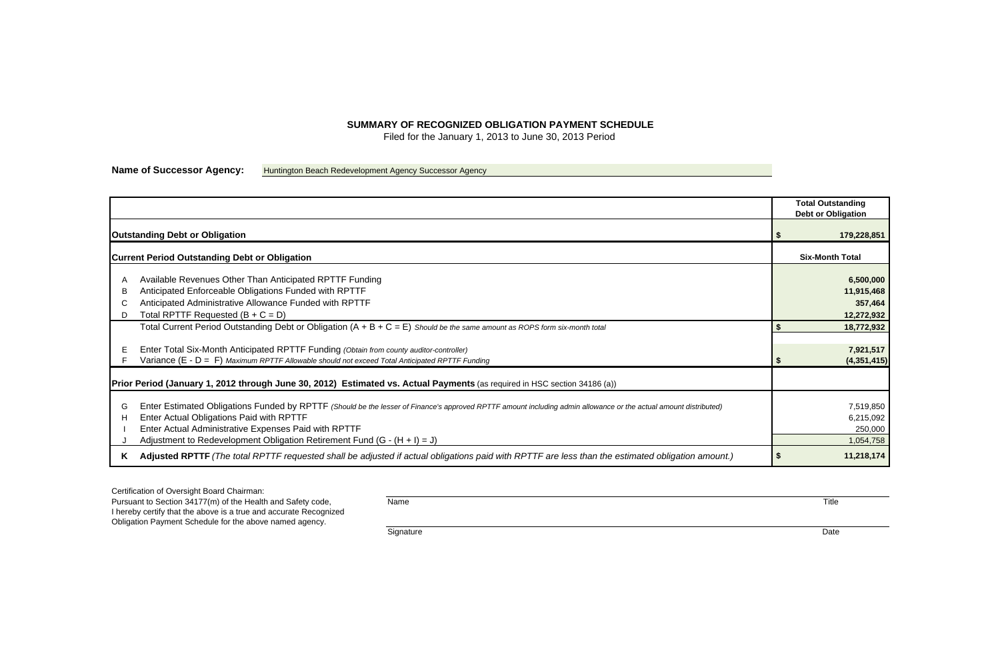## **SUMMARY OF RECOGNIZED OBLIGATION PAYMENT SCHEDULE**

Filed for the January 1, 2013 to June 30, 2013 Period

**Name of Successor Agency:** Huntington Beach Redevelopment Agency Successor Agency

|    | <b>Total Outstanding</b>   |
|----|----------------------------|
|    | <b>Debt or Obligation</b>  |
| \$ | 179,228,851                |
|    | <b>Six-Month Total</b>     |
|    | 6,500,000                  |
|    | 11,915,468<br>357,464      |
|    | 12,272,932                 |
| \$ | 18,772,932                 |
|    |                            |
| \$ | 7,921,517<br>(4, 351, 415) |
|    |                            |
|    | 7,519,850                  |
|    | 6,215,092                  |
|    | 250,000                    |
|    | 1,054,758                  |
| \$ | 11,218,174                 |

Certification of Oversight Board Chairman:

|                  |                                                                                                                                                                                                                                                                                                                                                    | <b>Total Outstanding</b><br><b>Debt or Obligation</b> |
|------------------|----------------------------------------------------------------------------------------------------------------------------------------------------------------------------------------------------------------------------------------------------------------------------------------------------------------------------------------------------|-------------------------------------------------------|
|                  | <b>Outstanding Debt or Obligation</b>                                                                                                                                                                                                                                                                                                              | 179,228,851                                           |
|                  | <b>Current Period Outstanding Debt or Obligation</b>                                                                                                                                                                                                                                                                                               | <b>Six-Month Total</b>                                |
| A<br>B<br>C<br>D | Available Revenues Other Than Anticipated RPTTF Funding<br>Anticipated Enforceable Obligations Funded with RPTTF<br>Anticipated Administrative Allowance Funded with RPTTF<br>Total RPTTF Requested $(B + C = D)$                                                                                                                                  | 6,500,000<br>11,915,468<br>357,464<br>12,272,932      |
|                  | Total Current Period Outstanding Debt or Obligation $(A + B + C = E)$ Should be the same amount as ROPS form six-month total                                                                                                                                                                                                                       | 18,772,932                                            |
| E                | Enter Total Six-Month Anticipated RPTTF Funding (Obtain from county auditor-controller)<br>Variance (E - D = F) Maximum RPTTF Allowable should not exceed Total Anticipated RPTTF Funding                                                                                                                                                          | 7,921,517<br>(4, 351, 415)                            |
|                  | Prior Period (January 1, 2012 through June 30, 2012) Estimated vs. Actual Payments (as required in HSC section 34186 (a))                                                                                                                                                                                                                          |                                                       |
| G<br>H           | Enter Estimated Obligations Funded by RPTTF (Should be the lesser of Finance's approved RPTTF amount including admin allowance or the actual amount distributed)<br>Enter Actual Obligations Paid with RPTTF<br>Enter Actual Administrative Expenses Paid with RPTTF<br>Adjustment to Redevelopment Obligation Retirement Fund $(G - (H + I) = J)$ | 7,519,850<br>6,215,092<br>250,000<br>1,054,758        |
| K.               | Adjusted RPTTF (The total RPTTF requested shall be adjusted if actual obligations paid with RPTTF are less than the estimated obligation amount.)                                                                                                                                                                                                  | 11,218,174                                            |

Pursuant to Section 34177(m) of the Health and Safety code, Name Title I hereby certify that the above is a true and accurate Recognized Obligation Payment Schedule for the above named agency.

Signature Date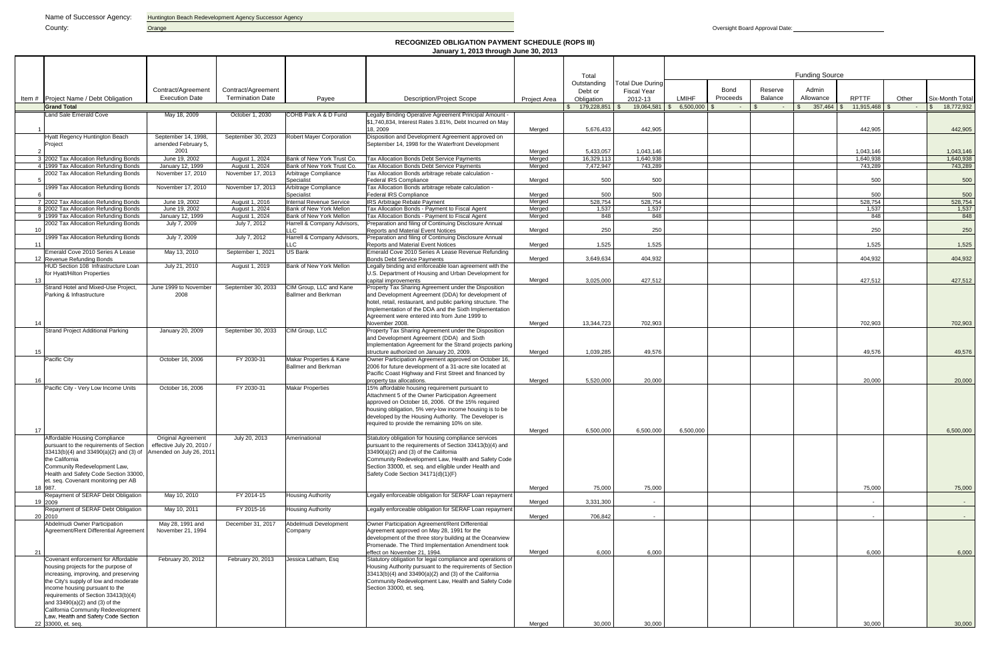#### **RECOGNIZED OBLIGATION PAYMENT SCHEDULE (ROPS III) January 1, 2013 through June 30, 2013**

|     |                                                                                   |                                                      |                                  |                                                       |                                                                                                                          |                     | Total        |                         |                |          |         | <b>Funding Source</b> |              |       |                 |
|-----|-----------------------------------------------------------------------------------|------------------------------------------------------|----------------------------------|-------------------------------------------------------|--------------------------------------------------------------------------------------------------------------------------|---------------------|--------------|-------------------------|----------------|----------|---------|-----------------------|--------------|-------|-----------------|
|     |                                                                                   |                                                      |                                  |                                                       |                                                                                                                          |                     | Outstanding  | <b>Total Due During</b> |                |          |         |                       |              |       |                 |
|     |                                                                                   | Contract/Agreement                                   | Contract/Agreement               |                                                       |                                                                                                                          |                     | Debt or      | <b>Fiscal Year</b>      |                | Bond     | Reserve | Admin                 |              |       |                 |
|     | Item # Project Name / Debt Obligation                                             | <b>Execution Date</b>                                | <b>Termination Date</b>          | Payee                                                 | <b>Description/Project Scope</b>                                                                                         | <b>Project Area</b> | Obligation   | 2012-13                 | <b>LMIHF</b>   | Proceeds | Balance | Allowance             | <b>RPTTF</b> | Other | Six-Month Total |
|     | <b>Grand Total</b><br>Land Sale Emerald Cove                                      | May 18, 2009                                         | October 1, 2030                  | COHB Park A & D Fund                                  | Legally Binding Operative Agreement Principal Amount -                                                                   |                     | 179,228,851  | 19,064,581              | $6,500,000$ \$ | $\sim$   |         | 357,464 \$            | 11,915,468   |       | 18,772,932      |
|     |                                                                                   |                                                      |                                  |                                                       | \$1,740,834, Interest Rates 3.81%, Debt Incurred on May                                                                  |                     |              |                         |                |          |         |                       |              |       |                 |
|     |                                                                                   |                                                      |                                  |                                                       | 18.2009                                                                                                                  | Merged              | 5,676,433    | 442,905                 |                |          |         |                       | 442,905      |       | 442,905         |
|     | Hyatt Regency Huntington Beach                                                    | September 14, 1998,                                  | September 30, 2023               | <b>Robert Mayer Corporation</b>                       | Disposition and Development Agreement approved on                                                                        |                     |              |                         |                |          |         |                       |              |       |                 |
|     | Project                                                                           | amended February 5,<br>2001                          |                                  |                                                       | September 14, 1998 for the Waterfront Development                                                                        |                     | 5,433,057    | 1,043,146               |                |          |         |                       | 1,043,146    |       | 1,043,146       |
|     | 3 2002 Tax Allocation Refunding Bonds                                             | June 19, 2002                                        | August 1, 2024                   | Bank of New York Trust Co.                            | Tax Allocation Bonds Debt Service Payments                                                                               | Merged<br>Merged    | 16,329,113   | 1,640,938               |                |          |         |                       | 1,640,938    |       | 1,640,938       |
|     | 4 1999 Tax Allocation Refunding Bonds                                             | January 12, 1999                                     | August 1, 2024                   | Bank of New York Trust Co.                            | <b>Tax Allocation Bonds Debt Service Payments</b>                                                                        | Merged              | 7,472,947    | 743,289                 |                |          |         |                       | 743.289      |       | 743,289         |
|     | 2002 Tax Allocation Refunding Bonds                                               | November 17, 2010                                    | November 17, 2013                | Arbitrage Compliance                                  | Tax Allocation Bonds arbitrage rebate calculation -                                                                      |                     |              |                         |                |          |         |                       |              |       |                 |
|     | 1999 Tax Allocation Refunding Bonds                                               | November 17, 2010                                    | November 17, 2013                | Specialist<br>Arbitrage Compliance                    | <b>Federal IRS Compliance</b><br>Tax Allocation Bonds arbitrage rebate calculation -                                     | Merged              | 500          | 500                     |                |          |         |                       | 500          |       | 500             |
|     |                                                                                   |                                                      |                                  | Specialist                                            | Federal IRS Compliance                                                                                                   | Merged              | 500          | 500                     |                |          |         |                       | 500          |       | 500             |
|     | 7 2002 Tax Allocation Refunding Bonds                                             | June 19, 2002                                        | August 1, 2016                   | Internal Revenue Service                              | <b>IRS Arbitrage Rebate Payment</b>                                                                                      | Merged              | 528,754      | 528,754                 |                |          |         |                       | 528,754      |       | 528,754         |
|     | 8 2002 Tax Allocation Refunding Bonds<br>9 1999 Tax Allocation Refunding Bonds    | June 19, 2002<br>January 12, 1999                    | August 1, 2024<br>August 1, 2024 | Bank of New York Mellon<br>Bank of New York Mellon    | Tax Allocation Bonds - Payment to Fiscal Agent<br>Tax Allocation Bonds - Payment to Fiscal Agent                         | Merged<br>Merged    | 1,537<br>848 | 1,537<br>848            |                |          |         |                       | 1,537<br>848 |       | 1,537<br>848    |
|     | 2002 Tax Allocation Refunding Bonds                                               | July 7, 2009                                         | July 7, 2012                     | Harrell & Company Advisors,                           | Preparation and filing of Continuing Disclosure Annual                                                                   |                     |              |                         |                |          |         |                       |              |       |                 |
| 10  |                                                                                   |                                                      |                                  | LLC                                                   | <b>Reports and Material Event Notices</b>                                                                                | Merged              | 250          | 250                     |                |          |         |                       | 250          |       | 250             |
| -11 | 1999 Tax Allocation Refunding Bonds                                               | July 7, 2009                                         | July 7, 2012                     | Harrell & Company Advisors,<br>TC.                    | Preparation and filing of Continuing Disclosure Annual<br><b>Reports and Material Event Notices</b>                      |                     | 1.525        | 1.525                   |                |          |         |                       | 1.525        |       | 1,525           |
|     | Emerald Cove 2010 Series A Lease                                                  | May 13, 2010                                         | September 1, 2021                | US Bank                                               | Emerald Cove 2010 Series A Lease Revenue Refunding                                                                       | Merged              |              |                         |                |          |         |                       |              |       |                 |
|     | 12 Revenue Refunding Bonds                                                        |                                                      |                                  |                                                       | <b>Bonds Debt Service Payments</b>                                                                                       | Merged              | 3.649.634    | 404.932                 |                |          |         |                       | 404.932      |       | 404,932         |
|     | HUD Section 108 Infrastructure Loan                                               | July 21, 2010                                        | August 1, 2019                   | Bank of New York Mellon                               | Legally binding and enforceable loan agreement with the                                                                  |                     |              |                         |                |          |         |                       |              |       |                 |
| 13  | for Hyatt/Hilton Properties                                                       |                                                      |                                  |                                                       | U.S. Department of Housing and Urban Development for<br>capital improvements                                             | Merged              | 3,025,000    | 427,512                 |                |          |         |                       | 427,512      |       | 427,512         |
|     | Strand Hotel and Mixed-Use Project,                                               | June 1999 to November                                | September 30, 2033               | CIM Group, LLC and Kane                               | Property Tax Sharing Agreement under the Disposition                                                                     |                     |              |                         |                |          |         |                       |              |       |                 |
|     | Parking & Infrastructure                                                          | 2008                                                 |                                  | <b>Ballmer and Berkman</b>                            | and Development Agreement (DDA) for development of                                                                       |                     |              |                         |                |          |         |                       |              |       |                 |
|     |                                                                                   |                                                      |                                  |                                                       | hotel, retail, restaurant, and public parking structure. The<br>Implementation of the DDA and the Sixth Implementation   |                     |              |                         |                |          |         |                       |              |       |                 |
|     |                                                                                   |                                                      |                                  |                                                       | Agreement were entered into from June 1999 to                                                                            |                     |              |                         |                |          |         |                       |              |       |                 |
| 14  |                                                                                   |                                                      |                                  |                                                       | November 2008.                                                                                                           | Merged              | 13.344.723   | 702.903                 |                |          |         |                       | 702,903      |       | 702,903         |
|     | Strand Project Additional Parking                                                 | January 20, 2009                                     | September 30, 2033               | CIM Group, LLC                                        | Property Tax Sharing Agreement under the Disposition<br>and Development Agreement (DDA) and Sixth                        |                     |              |                         |                |          |         |                       |              |       |                 |
|     |                                                                                   |                                                      |                                  |                                                       | Implementation Agreement for the Strand projects parking                                                                 |                     |              |                         |                |          |         |                       |              |       |                 |
| 15  |                                                                                   |                                                      |                                  |                                                       | structure authorized on January 20, 2009.                                                                                | Merged              | 1.039,285    | 49.576                  |                |          |         |                       | 49,576       |       | 49,576          |
|     | Pacific City                                                                      | October 16, 2006                                     | FY 2030-31                       | Makar Properties & Kane<br><b>Ballmer and Berkman</b> | Owner Participation Agreement approved on October 16,<br>2006 for future development of a 31-acre site located at        |                     |              |                         |                |          |         |                       |              |       |                 |
|     |                                                                                   |                                                      |                                  |                                                       | Pacific Coast Highway and First Street and financed by                                                                   |                     |              |                         |                |          |         |                       |              |       |                 |
| 16  |                                                                                   |                                                      |                                  |                                                       | property tax allocations.                                                                                                | Merged              | 5,520,000    | 20,000                  |                |          |         |                       | 20,000       |       | 20,000          |
|     | Pacific City - Very Low Income Units                                              | October 16, 2006                                     | FY 2030-31                       | <b>Makar Properties</b>                               | 15% affordable housing requirement pursuant to<br>Attachment 5 of the Owner Participation Agreement                      |                     |              |                         |                |          |         |                       |              |       |                 |
|     |                                                                                   |                                                      |                                  |                                                       | approved on October 16, 2006. Of the 15% required                                                                        |                     |              |                         |                |          |         |                       |              |       |                 |
|     |                                                                                   |                                                      |                                  |                                                       | housing obligation, 5% very-low income housing is to be                                                                  |                     |              |                         |                |          |         |                       |              |       |                 |
|     |                                                                                   |                                                      |                                  |                                                       | developed by the Housing Authority. The Developer is<br>required to provide the remaining 10% on site.                   |                     |              |                         |                |          |         |                       |              |       |                 |
| -17 |                                                                                   |                                                      |                                  |                                                       |                                                                                                                          | Merged              | 6,500,000    | 6,500,000               | 6,500,000      |          |         |                       |              |       | 6,500,000       |
|     | Affordable Housing Compliance                                                     | <b>Original Agreement</b>                            | July 20, 2013                    | Amerinational                                         | Statutory obligation for housing compliance services                                                                     |                     |              |                         |                |          |         |                       |              |       |                 |
|     | pursuant to the requirements of Section<br>33413(b)(4) and 33490(a)(2) and (3) of | effective July 20, 2010 /<br>Amended on July 26, 201 |                                  |                                                       | pursuant to the requirements of Section 33413(b)(4) and<br>33490(a)(2) and (3) of the California                         |                     |              |                         |                |          |         |                       |              |       |                 |
|     | the California                                                                    |                                                      |                                  |                                                       | Community Redevelopment Law, Health and Safety Code                                                                      |                     |              |                         |                |          |         |                       |              |       |                 |
|     | Community Redevelopment Law,                                                      |                                                      |                                  |                                                       | Section 33000, et. seq. and eligible under Health and                                                                    |                     |              |                         |                |          |         |                       |              |       |                 |
|     | Health and Safety Code Section 33000,<br>et. seg. Covenant monitoring per AB      |                                                      |                                  |                                                       | Safety Code Section 34171(d)(1)(F)                                                                                       |                     |              |                         |                |          |         |                       |              |       |                 |
|     | 18 987                                                                            |                                                      |                                  |                                                       |                                                                                                                          | Merged              | 75,000       | 75,000                  |                |          |         |                       | 75,000       |       | 75,000          |
|     | Repayment of SERAF Debt Obligation                                                | May 10, 2010                                         | FY 2014-15                       | <b>Housing Authority</b>                              | Legally enforceable obligation for SERAF Loan repayment                                                                  |                     |              |                         |                |          |         |                       |              |       |                 |
|     | 19 2009<br>Repayment of SERAF Debt Obligation                                     | May 10, 2011                                         | FY 2015-16                       | <b>Housing Authority</b>                              | Legally enforceable obligation for SERAF Loan repayment                                                                  | Merged              | 3,331,300    | $\sim$                  |                |          |         |                       |              |       | $\sim$          |
|     | 20 2010                                                                           |                                                      |                                  |                                                       |                                                                                                                          | Merged              | 706,842      | $\sim$                  |                |          |         |                       |              |       | $\sim$ $-$      |
|     | Abdelmudi Owner Participation                                                     | May 28, 1991 and                                     | December 31, 2017                | Abdelmudi Development                                 | Owner Participation Agreement/Rent Differential                                                                          |                     |              |                         |                |          |         |                       |              |       |                 |
|     | Agreement/Rent Differential Agreement                                             | November 21, 1994                                    |                                  | Company                                               | Agreement approved on May 28, 1991 for the<br>development of the three story building at the Oceanview                   |                     |              |                         |                |          |         |                       |              |       |                 |
|     |                                                                                   |                                                      |                                  |                                                       | Promenade. The Third Implementation Amendment took                                                                       |                     |              |                         |                |          |         |                       |              |       |                 |
| 21  |                                                                                   |                                                      |                                  |                                                       | effect on November 21, 1994.                                                                                             | Merged              | 6,000        | 6,000                   |                |          |         |                       | 6,000        |       | 6,000           |
|     | Covenant enforcement for Affordable<br>housing projects for the purpose of        | February 20, 2012                                    | February 20, 2013                | Jessica Latham, Esq                                   | Statutory obligation for legal compliance and operations of<br>Housing Authority pursuant to the requirements of Section |                     |              |                         |                |          |         |                       |              |       |                 |
|     | increasing, improving, and preserving                                             |                                                      |                                  |                                                       | $33413(b)(4)$ and $33490(a)(2)$ and (3) of the California                                                                |                     |              |                         |                |          |         |                       |              |       |                 |
|     | the City's supply of low and moderate                                             |                                                      |                                  |                                                       | Community Redevelopment Law, Health and Safety Code                                                                      |                     |              |                         |                |          |         |                       |              |       |                 |
|     | income housing pursuant to the<br>requirements of Section 33413(b)(4)             |                                                      |                                  |                                                       | Section 33000, et. seq.                                                                                                  |                     |              |                         |                |          |         |                       |              |       |                 |
|     | and $33490(a)(2)$ and $(3)$ of the                                                |                                                      |                                  |                                                       |                                                                                                                          |                     |              |                         |                |          |         |                       |              |       |                 |
|     | California Community Redevelopment                                                |                                                      |                                  |                                                       |                                                                                                                          |                     |              |                         |                |          |         |                       |              |       |                 |
|     | Law, Health and Safety Code Section<br>22 33000, et. seq.                         |                                                      |                                  |                                                       |                                                                                                                          | Merged              | 30,000       | 30,000                  |                |          |         |                       | 30,000       |       | 30,000          |
|     |                                                                                   |                                                      |                                  |                                                       |                                                                                                                          |                     |              |                         |                |          |         |                       |              |       |                 |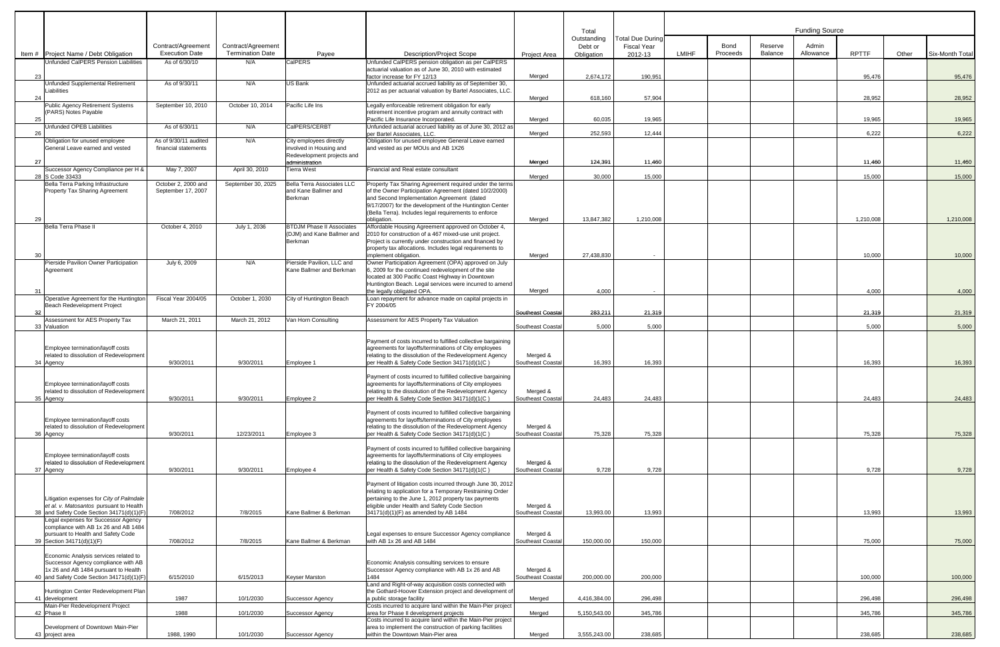|    |                                                                                                                                                   |                                             |                                               |                                                                           |                                                                                                                                                                                                                                                                                                    |                                                    | Total<br>Outstanding  | <b>Total Due During</b>       |              |                         |                    | <b>Funding Source</b> |                  |       |                  |  |  |  |
|----|---------------------------------------------------------------------------------------------------------------------------------------------------|---------------------------------------------|-----------------------------------------------|---------------------------------------------------------------------------|----------------------------------------------------------------------------------------------------------------------------------------------------------------------------------------------------------------------------------------------------------------------------------------------------|----------------------------------------------------|-----------------------|-------------------------------|--------------|-------------------------|--------------------|-----------------------|------------------|-------|------------------|--|--|--|
|    | Item # Project Name / Debt Obligation                                                                                                             | Contract/Agreement<br><b>Execution Date</b> | Contract/Agreement<br><b>Termination Date</b> | Payee                                                                     | <b>Description/Project Scope</b>                                                                                                                                                                                                                                                                   | Project Area                                       | Debt or<br>Obligation | <b>Fiscal Year</b><br>2012-13 | <b>LMIHF</b> | <b>Bond</b><br>Proceeds | Reserve<br>Balance | Admin<br>Allowance    | <b>RPTTF</b>     | Other | Six-Month Total  |  |  |  |
|    | Unfunded CalPERS Pension Liabilities                                                                                                              | As of 6/30/10                               | N/A                                           | CalPERS                                                                   | Unfunded CalPERS pension obligation as per CalPERS<br>actuarial valuation as of June 30, 2010 with estimated                                                                                                                                                                                       |                                                    |                       |                               |              |                         |                    |                       |                  |       |                  |  |  |  |
| 23 | Unfunded Supplemental Retirement<br>Liabilities                                                                                                   | As of 9/30/11                               | N/A                                           | US Bank                                                                   | factor increase for FY 12/13<br>Unfunded actuarial accrued liability as of September 30,<br>2012 as per actuarial valuation by Bartel Associates, LLC.                                                                                                                                             | Merged                                             | 2.674.172             | 190.951                       |              |                         |                    |                       | 95.476           |       | 95.476           |  |  |  |
| 24 | Public Agency Retirement Systems                                                                                                                  | September 10, 2010                          | October 10, 2014                              | Pacific Life Ins                                                          | Legally enforceable retirement obligation for early                                                                                                                                                                                                                                                | Merged                                             | 618,160               | 57,904                        |              |                         |                    |                       | 28,952           |       | 28,952           |  |  |  |
| 25 | (PARS) Notes Payable<br>Unfunded OPEB Liabilities                                                                                                 | As of 6/30/11                               | N/A                                           | CalPERS/CERBT                                                             | retirement incentive program and annuity contract with<br>Pacific Life Insurance Incorporated.<br>Unfunded actuarial accrued liability as of June 30, 2012 as                                                                                                                                      | Meraed                                             | 60.035                | 19,965                        |              |                         |                    |                       | 19,965           |       | 19,965           |  |  |  |
| 26 | Obligation for unused employee                                                                                                                    | As of 9/30/11 audited                       | N/A                                           | City employees directly                                                   | per Bartel Associates, LLC.<br>Obligation for unused employee General Leave earned                                                                                                                                                                                                                 | Meraed                                             | 252.593               | 12,444                        |              |                         |                    |                       | 6.222            |       | 6,222            |  |  |  |
| 27 | General Leave earned and vested                                                                                                                   | financial statements                        |                                               | involved in Housing and<br>Redevelopment projects and<br>administration   | and vested as per MOUs and AB 1X26                                                                                                                                                                                                                                                                 | Meraed                                             | 124.391               | 11.460                        |              |                         |                    |                       | 11.460           |       | 11,460           |  |  |  |
|    | Successor Agency Compliance per H &<br>28 S Code 33433                                                                                            | May 7, 2007                                 | April 30, 2010                                | Tierra West                                                               | Financial and Real estate consultant                                                                                                                                                                                                                                                               | Merged                                             | 30.000                | 15,000                        |              |                         |                    |                       | 15,000           |       | 15,000           |  |  |  |
| 29 | Bella Terra Parking Infrastructure<br><b>Property Tax Sharing Agreement</b>                                                                       | October 2, 2000 and<br>September 17, 2007   | September 30, 2025                            | Bella Terra Associates LLC<br>and Kane Ballmer and<br>Berkman             | Property Tax Sharing Agreement required under the terms<br>of the Owner Participation Agreement (dated 10/2/2000)<br>and Second Implementation Agreement (dated<br>9/17/2007) for the development of the Huntington Center<br>(Bella Terra). Includes legal requirements to enforce<br>obligation. | Meraed                                             | 13.847.382            | 1.210.008                     |              |                         |                    |                       | 1,210,008        |       | 1,210,008        |  |  |  |
| 30 | Bella Terra Phase II                                                                                                                              | October 4, 2010                             | July 1, 2036                                  | <b>BTDJM Phase II Associates</b><br>(DJM) and Kane Ballmer and<br>Berkman | Affordable Housing Agreement approved on October 4,<br>2010 for construction of a 467 mixed-use unit project.<br>Project is currently under construction and financed by<br>property tax allocations. Includes legal requirements to<br>implement obligation.                                      | Merged                                             | 27,438,830            |                               |              |                         |                    |                       | 10.000           |       | 10,000           |  |  |  |
|    | Pierside Pavilion Owner Participation<br>Agreement                                                                                                | July 6, 2009                                | N/A                                           | Pierside Pavilion, LLC and<br>Kane Ballmer and Berkman                    | Owner Participation Agreement (OPA) approved on July<br>6, 2009 for the continued redevelopment of the site<br>located at 300 Pacific Coast Highway in Downtown<br>Huntington Beach. Legal services were incurred to amend                                                                         |                                                    |                       |                               |              |                         |                    |                       |                  |       |                  |  |  |  |
| 31 | Operative Agreement for the Huntington<br>Beach Redevelopment Project                                                                             | Fiscal Year 2004/05                         | October 1, 2030                               | City of Huntington Beach                                                  | the legally obligated OPA.<br>Loan repayment for advance made on capital projects in<br>FY 2004/05                                                                                                                                                                                                 | Merged                                             | 4.000                 | $\sim$                        |              |                         |                    |                       | 4.000            |       | 4.000            |  |  |  |
| 32 | Assessment for AES Property Tax<br>33 Valuation                                                                                                   | March 21, 2011                              | March 21, 2012                                | Van Horn Consulting                                                       | Assessment for AES Property Tax Valuation                                                                                                                                                                                                                                                          | Southeast Coastal<br>Southeast Coastal             | 283,211<br>5.000      | 21.319<br>5,000               |              |                         |                    |                       | 21.319<br>5,000  |       | 21,319<br>5,000  |  |  |  |
|    | Employee termination/layoff costs<br>related to dissolution of Redevelopment                                                                      |                                             |                                               |                                                                           | Payment of costs incurred to fulfilled collective bargaining<br>agreements for layoffs/terminations of City employees<br>relating to the dissolution of the Redevelopment Agency                                                                                                                   | Merged &                                           |                       |                               |              |                         |                    |                       |                  |       |                  |  |  |  |
|    | 34 Agency<br>Employee termination/layoff costs<br>related to dissolution of Redevelopment<br>35 Agency                                            | 9/30/2011<br>9/30/2011                      | 9/30/2011<br>9/30/2011                        | Employee 1<br>Employee 2                                                  | per Health & Safety Code Section 34171(d)(1(C)<br>Payment of costs incurred to fulfilled collective bargaining<br>agreements for layoffs/terminations of City employees<br>relating to the dissolution of the Redevelopment Agency<br>per Health & Safety Code Section 34171(d)(1(C)               | Southeast Coastal<br>Merged &<br>Southeast Coastal | 16,393<br>24,483      | 16,393<br>24,483              |              |                         |                    |                       | 16,393<br>24,483 |       | 16,393<br>24,483 |  |  |  |
|    | Employee termination/layoff costs<br>related to dissolution of Redevelopment<br>36 Agency                                                         | 9/30/2011                                   | 12/23/2011                                    | Employee 3                                                                | Payment of costs incurred to fulfilled collective bargaining<br>agreements for layoffs/terminations of City employees<br>relating to the dissolution of the Redevelopment Agency<br>per Health & Safety Code Section 34171(d)(1(C)                                                                 | Merged &<br>Southeast Coastal                      | 75,328                | 75.328                        |              |                         |                    |                       | 75,328           |       | 75,328           |  |  |  |
|    | Employee termination/layoff costs<br>related to dissolution of Redevelopment<br>37 Agency                                                         | 9/30/2011                                   | 9/30/2011                                     | Employee 4                                                                | Payment of costs incurred to fulfilled collective bargaining<br>agreements for layoffs/terminations of City employees<br>relating to the dissolution of the Redevelopment Agency<br>per Health & Safety Code Section 34171(d)(1(C)                                                                 | Merged &<br>Southeast Coastal                      | 9,728                 | 9,728                         |              |                         |                    |                       | 9,728            |       | 9,728            |  |  |  |
|    | Litigation expenses for City of Palmdale<br>et al. v. Matosantos pursuant to Health<br>38 and Safety Code Section 34171(d)(1)(F)                  | 7/08/2012                                   | 7/8/2015                                      | Kane Ballmer & Berkman                                                    | Payment of litigation costs incurred through June 30, 2012<br>relating to application for a Temporary Restraining Order<br>pertaining to the June 1, 2012 property tax payments<br>eligible under Health and Safety Code Section<br>34171(d)(1)(F) as amended by AB 1484                           | Merged &<br>Southeast Coastal                      | 13,993.00             | 13,993                        |              |                         |                    |                       | 13,993           |       | 13,993           |  |  |  |
|    | Legal expenses for Successor Agency<br>compliance with AB 1x 26 and AB 1484<br>pursuant to Health and Safety Code                                 |                                             |                                               |                                                                           | Legal expenses to ensure Successor Agency compliance                                                                                                                                                                                                                                               | Merged &                                           |                       |                               |              |                         |                    |                       |                  |       |                  |  |  |  |
|    | 39 Section 34171(d)(1)(F)<br>Economic Analysis services related to<br>Successor Agency compliance with AB<br>1x 26 and AB 1484 pursuant to Health | 7/08/2012                                   | 7/8/2015                                      | Kane Ballmer & Berkman                                                    | with AB 1x 26 and AB 1484<br>Economic Analysis consulting services to ensure<br>Successor Agency compliance with AB 1x 26 and AB                                                                                                                                                                   | Southeast Coastal<br>Merged &                      | 150,000.00            | 150,000                       |              |                         |                    |                       | 75,000           |       | 75,000           |  |  |  |
|    | 40 and Safety Code Section 34171(d)(1)(F)                                                                                                         | 6/15/2010                                   | 6/15/2013                                     | Keyser Marston                                                            | 1484<br>Land and Right-of-way acquisition costs connected with                                                                                                                                                                                                                                     | Southeast Coastal                                  | 200,000.00            | 200,000                       |              |                         |                    |                       | 100,000          |       | 100,000          |  |  |  |
|    | Huntington Center Redevelopment Plan<br>41 development<br>Main-Pier Redevelopment Project                                                         | 1987                                        | 10/1/2030                                     | Successor Agency                                                          | the Gothard-Hoover Extension project and development of<br>a public storage facility<br>Costs incurred to acquire land within the Main-Pier project                                                                                                                                                | Merged                                             | 4,416,384.00          | 296,498                       |              |                         |                    |                       | 296,498          |       | 296,498          |  |  |  |
|    | 42 Phase II                                                                                                                                       | 1988                                        | 10/1/2030                                     | Successor Agency                                                          | area for Phase II development projects<br>Costs incurred to acquire land within the Main-Pier project                                                                                                                                                                                              | Merged                                             | 5,150,543.00          | 345,786                       |              |                         |                    |                       | 345,786          |       | 345,786          |  |  |  |
|    | Development of Downtown Main-Pier<br>43 project area                                                                                              | 1988, 1990                                  | 10/1/2030                                     | Successor Agency                                                          | area to implement the construction of parking facilities<br>within the Downtown Main-Pier area                                                                                                                                                                                                     | Merged                                             | 3,555,243.00          | 238,685                       |              |                         |                    |                       | 238,685          |       | 238,685          |  |  |  |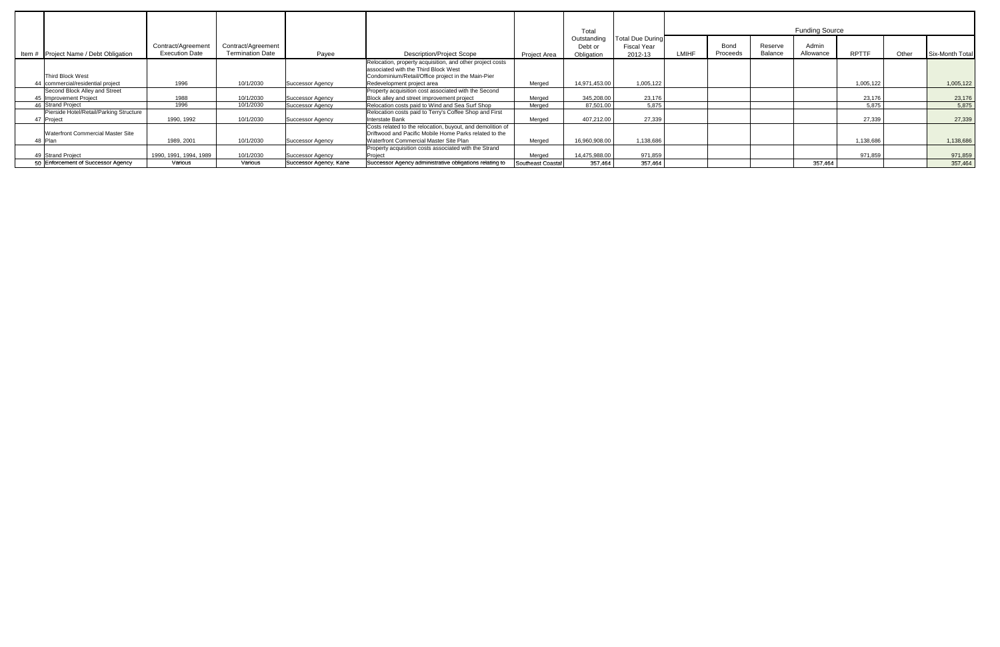|                                                       |                                            |                                               |                         |                                                                                                                                                                |                   | Total                                |                                                   | <b>Funding Source</b> |                         |                    |                    |              |       |                        |  |
|-------------------------------------------------------|--------------------------------------------|-----------------------------------------------|-------------------------|----------------------------------------------------------------------------------------------------------------------------------------------------------------|-------------------|--------------------------------------|---------------------------------------------------|-----------------------|-------------------------|--------------------|--------------------|--------------|-------|------------------------|--|
| Item # Project Name / Debt Obligation                 | Contract/Agreemen<br><b>Execution Date</b> | Contract/Agreement<br><b>Termination Date</b> | Payee                   | <b>Description/Project Scope</b>                                                                                                                               | Project Area      | Outstanding<br>Debt or<br>Obligation | <b>Total Due During</b><br>Fiscal Year<br>2012-13 | <b>LMIHF</b>          | <b>Bond</b><br>Proceeds | Reserve<br>Balance | Admin<br>Allowance | <b>RPTTF</b> | Other | <b>Six-Month Total</b> |  |
| Third Block West                                      |                                            |                                               |                         | Relocation, property acquisition, and other project costs<br>associated with the Third Block West<br>Condominium/Retail/Office project in the Main-Pier        |                   |                                      |                                                   |                       |                         |                    |                    |              |       |                        |  |
| 44 commercial/residential project                     | 1996                                       | 10/1/2030                                     | Successor Agency        | Redevelopment project area                                                                                                                                     | Meraed            | 14,971,453.00                        | 1,005,122                                         |                       |                         |                    |                    | 1,005,122    |       | 1,005,122              |  |
| Second Block Alley and Street                         |                                            |                                               |                         | Property acquisition cost associated with the Second                                                                                                           |                   |                                      |                                                   |                       |                         |                    |                    |              |       |                        |  |
| 45 Improvement Project                                | 1988                                       | 10/1/2030                                     | Successor Agency        | Block alley and street improvement project                                                                                                                     | Meraed            | 345,208.00                           | 23,176                                            |                       |                         |                    |                    | 23,176       |       | 23,176                 |  |
| 46 Strand Project                                     | 1996                                       | 10/1/2030                                     | <b>Successor Agency</b> | Relocation costs paid to Wind and Sea Surf Shop                                                                                                                | Meraed            | 87,501.00                            | 5,875                                             |                       |                         |                    |                    | 5,875        |       | 5,875                  |  |
| Pierside Hotel/Retail/Parking Structure<br>47 Project | 1990, 1992                                 | 10/1/2030                                     | <b>Successor Agency</b> | Relocation costs paid to Terry's Coffee Shop and First<br><b>Interstate Bank</b>                                                                               | Merged            | 407,212.00                           | 27,339                                            |                       |                         |                    |                    | 27,339       |       | 27,339                 |  |
| <b>Waterfront Commercial Master Site</b><br>48 Plan   | 1989, 2001                                 | 10/1/2030                                     | <b>Successor Agency</b> | Costs related to the relocation, buyout, and demolition of<br>Driftwood and Pacific Mobile Home Parks related to the<br>Waterfront Commercial Master Site Plan | Meraed            | 16,960,908.00                        | 1,138,686                                         |                       |                         |                    |                    | 1,138,686    |       | 1,138,686              |  |
| 49 Strand Project                                     | 1990. 1991. 1994. 1989                     | 10/1/2030                                     | <b>Successor Agency</b> | Property acquisition costs associated with the Strand<br>Project                                                                                               | Meraed            | 14.475.988.00                        | 971.859                                           |                       |                         |                    |                    | 971.859      |       | 971,859                |  |
| 50 Enforcement of Successor Agency                    | Various                                    | Various                                       | Successor Agency, Kane  | Successor Agency administrative obligations relating to                                                                                                        | Southeast Coastal | 357,464                              | 357,464                                           |                       |                         |                    | 357,464            |              |       | 357,464                |  |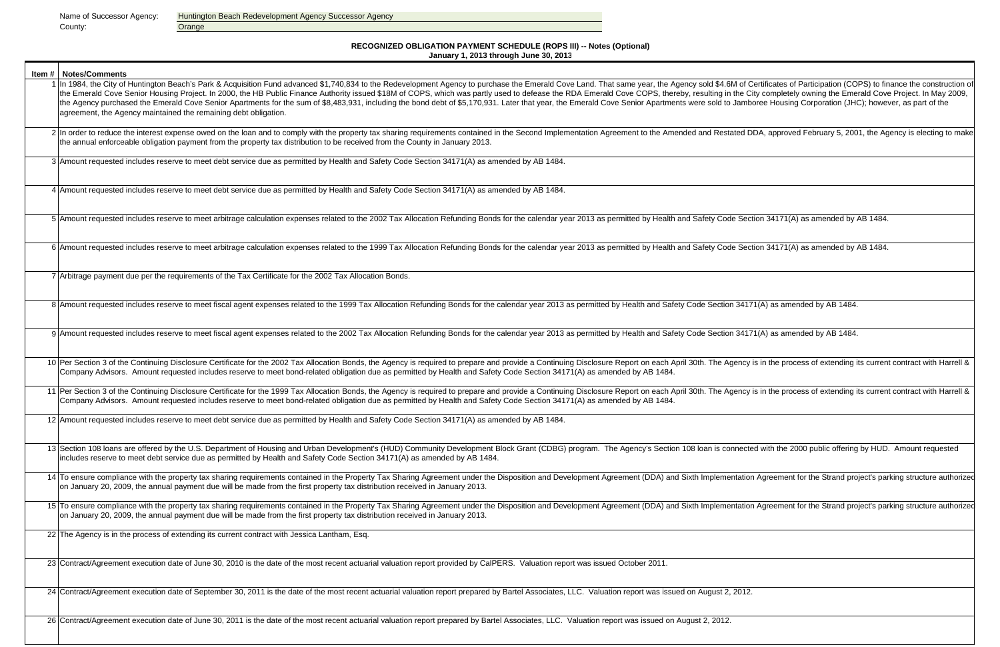County: County: County: County: County: County: County: County: County: County: County: County: County: County: County: County: County: County: County: County: County: County: County: County: County: County: County: County

Name of Successor Agency: Huntington Beach Redevelopment Agency Successor Agency

| <b>Item #   Notes/Comments</b>                                                                                                                                                                                                                                                                                                                                                                                                                                                                                                                                                                                                                                               |
|------------------------------------------------------------------------------------------------------------------------------------------------------------------------------------------------------------------------------------------------------------------------------------------------------------------------------------------------------------------------------------------------------------------------------------------------------------------------------------------------------------------------------------------------------------------------------------------------------------------------------------------------------------------------------|
| 1 In 1984, the City of Huntington Beach's Park & Acquisition Fund advanced \$1,740,834 to the Redevelopment Agency to purchase the Emerald Cove Land. That same year, the Agency sold \$4.6M of C<br>the Emerald Cove Senior Housing Project. In 2000, the HB Public Finance Authority issued \$18M of COPS, which was partly used to defease the RDA Emerald Cove COPS, thereby, resulting in the C<br>the Agency purchased the Emerald Cove Senior Apartments for the sum of \$8,483,931, including the bond debt of \$5,170,931. Later that year, the Emerald Cove Senior Apartments were sold to Jamb<br>agreement, the Agency maintained the remaining debt obligation. |
| 2 In order to reduce the interest expense owed on the loan and to comply with the property tax sharing requirements contained in the Second Implementation Agreement to the Amended and Restated D<br>the annual enforceable obligation payment from the property tax distribution to be received from the County in January 2013.                                                                                                                                                                                                                                                                                                                                           |
| 3 Amount requested includes reserve to meet debt service due as permitted by Health and Safety Code Section 34171(A) as amended by AB 1484.                                                                                                                                                                                                                                                                                                                                                                                                                                                                                                                                  |
| 4 Amount requested includes reserve to meet debt service due as permitted by Health and Safety Code Section 34171(A) as amended by AB 1484.                                                                                                                                                                                                                                                                                                                                                                                                                                                                                                                                  |
| 5 Amount requested includes reserve to meet arbitrage calculation expenses related to the 2002 Tax Allocation Refunding Bonds for the calendar year 2013 as permitted by Health and Safety Code Sec                                                                                                                                                                                                                                                                                                                                                                                                                                                                          |
| 6 Amount requested includes reserve to meet arbitrage calculation expenses related to the 1999 Tax Allocation Refunding Bonds for the calendar year 2013 as permitted by Health and Safety Code Sec                                                                                                                                                                                                                                                                                                                                                                                                                                                                          |
| 7 Arbitrage payment due per the requirements of the Tax Certificate for the 2002 Tax Allocation Bonds.                                                                                                                                                                                                                                                                                                                                                                                                                                                                                                                                                                       |
| 8 Amount requested includes reserve to meet fiscal agent expenses related to the 1999 Tax Allocation Refunding Bonds for the calendar year 2013 as permitted by Health and Safety Code Section 3417                                                                                                                                                                                                                                                                                                                                                                                                                                                                          |
| 9 Amount requested includes reserve to meet fiscal agent expenses related to the 2002 Tax Allocation Refunding Bonds for the calendar year 2013 as permitted by Health and Safety Code Section 3417                                                                                                                                                                                                                                                                                                                                                                                                                                                                          |
| 10 Per Section 3 of the Continuing Disclosure Certificate for the 2002 Tax Allocation Bonds, the Agency is required to prepare and provide a Continuing Disclosure Report on each April 30th. The Agency<br>Company Advisors. Amount requested includes reserve to meet bond-related obligation due as permitted by Health and Safety Code Section 34171(A) as amended by AB 1484.                                                                                                                                                                                                                                                                                           |
| 11 Per Section 3 of the Continuing Disclosure Certificate for the 1999 Tax Allocation Bonds, the Agency is required to prepare and provide a Continuing Disclosure Report on each April 30th. The Agency<br>Company Advisors. Amount requested includes reserve to meet bond-related obligation due as permitted by Health and Safety Code Section 34171(A) as amended by AB 1484.                                                                                                                                                                                                                                                                                           |
| 12 Amount requested includes reserve to meet debt service due as permitted by Health and Safety Code Section 34171(A) as amended by AB 1484.                                                                                                                                                                                                                                                                                                                                                                                                                                                                                                                                 |
| 13 Section 108 Ioans are offered by the U.S. Department of Housing and Urban Development's (HUD) Community Development Block Grant (CDBG) program. The Agency's Section 108 Ioan is connecte<br>includes reserve to meet debt service due as permitted by Health and Safety Code Section 34171(A) as amended by AB 1484.                                                                                                                                                                                                                                                                                                                                                     |
| 14 To ensure compliance with the property tax sharing requirements contained in the Property Tax Sharing Agreement under the Disposition and Development Agreement (DDA) and Sixth Implementation<br>on January 20, 2009, the annual payment due will be made from the first property tax distribution received in January 2013.                                                                                                                                                                                                                                                                                                                                             |
| 15 To ensure compliance with the property tax sharing requirements contained in the Property Tax Sharing Agreement under the Disposition and Development Agreement (DDA) and Sixth Implementation<br>on January 20, 2009, the annual payment due will be made from the first property tax distribution received in January 2013.                                                                                                                                                                                                                                                                                                                                             |
| 22 The Agency is in the process of extending its current contract with Jessica Lantham, Esq.                                                                                                                                                                                                                                                                                                                                                                                                                                                                                                                                                                                 |
| 23 Contract/Agreement execution date of June 30, 2010 is the date of the most recent actuarial valuation report provided by CalPERS. Valuation report was issued October 2011.                                                                                                                                                                                                                                                                                                                                                                                                                                                                                               |
| 24 Contract/Agreement execution date of September 30, 2011 is the date of the most recent actuarial valuation report prepared by Bartel Associates, LLC. Valuation report was issued on August 2, 2012.                                                                                                                                                                                                                                                                                                                                                                                                                                                                      |
| 26 Contract/Agreement execution date of June 30, 2011 is the date of the most recent actuarial valuation report prepared by Bartel Associates, LLC. Valuation report was issued on August 2, 2012.                                                                                                                                                                                                                                                                                                                                                                                                                                                                           |

1 of Certificates of Participation (COPS) to finance the construction of the City completely owning the Emerald Cove Project. In May 2009, Jamboree Housing Corporation (JHC); however, as part of the

ted DDA, approved February 5, 2001, the Agency is electing to make

Section 34171(A) as amended by AB 1484.

Section 34171(A) as amended by AB 1484.

34171(A) as amended by AB 1484.

 $34171(A)$  as amended by AB 1484.

ency is in the process of extending its current contract with Harrell &

ency is in the process of extending its current contract with Harrell &

nected with the 2000 public offering by HUD. Amount requested

tation Agreement for the Strand project's parking structure authorized

tation Agreement for the Strand project's parking structure authorized

#### **RECOGNIZED OBLIGATION PAYMENT SCHEDULE (ROPS III) -- Notes (Optional) January 1, 2013 through June 30, 201 3**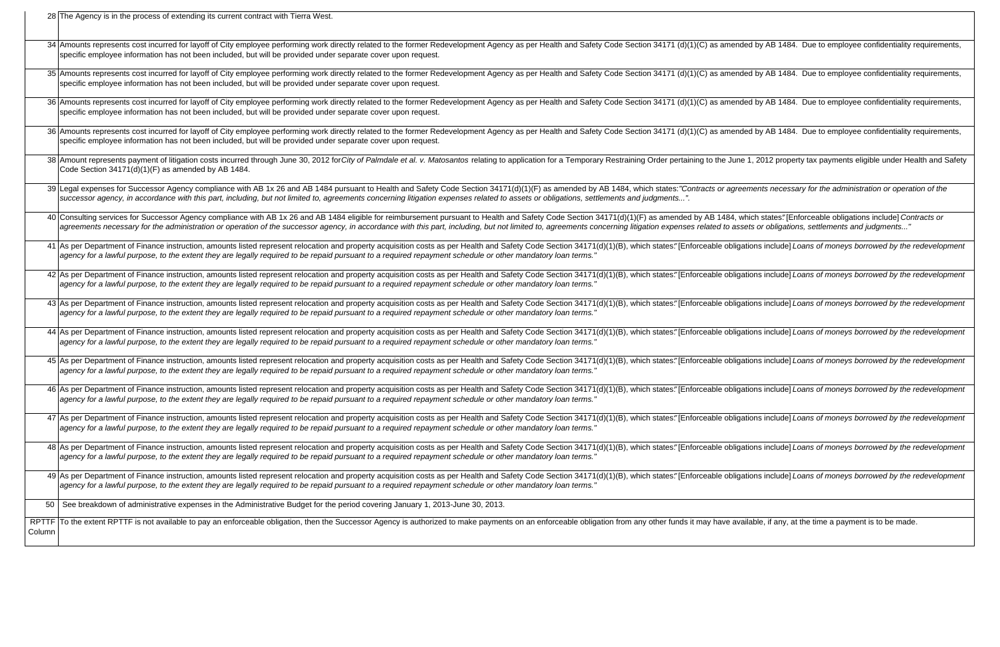28 The Agency is in the process of extending its current contract with Tierra West.

|        | 34 Amounts represents cost incurred for layoff of City employee performing work directly related to the former Redevelopment Agency as per Health and Safety Code Section 34171 (d)(1)(C) as ame<br>specific employee information has not been included, but will be provided under separate cover upon request.                                                                                      |
|--------|-------------------------------------------------------------------------------------------------------------------------------------------------------------------------------------------------------------------------------------------------------------------------------------------------------------------------------------------------------------------------------------------------------|
|        | 35 Amounts represents cost incurred for layoff of City employee performing work directly related to the former Redevelopment Agency as per Health and Safety Code Section 34171 (d)(1)(C) as ame<br>specific employee information has not been included, but will be provided under separate cover upon request.                                                                                      |
|        | 36 Amounts represents cost incurred for layoff of City employee performing work directly related to the former Redevelopment Agency as per Health and Safety Code Section 34171 (d)(1)(C) as ame<br>specific employee information has not been included, but will be provided under separate cover upon request.                                                                                      |
|        | 36 Amounts represents cost incurred for layoff of City employee performing work directly related to the former Redevelopment Agency as per Health and Safety Code Section 34171 (d)(1)(C) as ame<br>specific employee information has not been included, but will be provided under separate cover upon request.                                                                                      |
|        | 38 Amount represents payment of litigation costs incurred through June 30, 2012 for City of Palmdale et al. v. Matosantos relating to application for a Temporary Restraining Order pertaining to the Ju<br>Code Section 34171(d)(1)(F) as amended by AB 1484.                                                                                                                                        |
|        | 39 Legal expenses for Successor Agency compliance with AB 1x 26 and AB 1484 pursuant to Health and Safety Code Section 34171(d)(1)(F) as amended by AB 1484, which states: "Contracts or ag<br>successor agency, in accordance with this part, including, but not limited to, agreements concerning litigation expenses related to assets or obligations, settlements and judgments".                 |
|        | 40 Consulting services for Successor Agency compliance with AB 1x 26 and AB 1484 eligible for reimbursement pursuant to Health and Safety Code Section 34171(d)(1)(F) as amended by AB 1484,<br>agreements necessary for the administration or operation of the successor agency, in accordance with this part, including, but not limited to, agreements concerning litigation expenses related to a |
|        | 41 As per Department of Finance instruction, amounts listed represent relocation and property acquisition costs as per Health and Safety Code Section 34171(d)(1)(B), which states."[Enforceable obli<br>agency for a lawful purpose, to the extent they are legally required to be repaid pursuant to a required repayment schedule or other mandatory loan terms."                                  |
|        | 42 As per Department of Finance instruction, amounts listed represent relocation and property acquisition costs as per Health and Safety Code Section 34171(d)(1)(B), which states."[Enforceable obli<br>agency for a lawful purpose, to the extent they are legally required to be repaid pursuant to a required repayment schedule or other mandatory loan terms."                                  |
|        | 43 As per Department of Finance instruction, amounts listed represent relocation and property acquisition costs as per Health and Safety Code Section 34171(d)(1)(B), which states."[Enforceable obli<br> agency for a lawful purpose, to the extent they are legally required to be repaid pursuant to a required repayment schedule or other mandatory loan terms."                                 |
|        | 44 As per Department of Finance instruction, amounts listed represent relocation and property acquisition costs as per Health and Safety Code Section 34171(d)(1)(B), which states."[Enforceable obli<br> agency for a lawful purpose, to the extent they are legally required to be repaid pursuant to a required repayment schedule or other mandatory loan terms."                                 |
|        | 45 As per Department of Finance instruction, amounts listed represent relocation and property acquisition costs as per Health and Safety Code Section 34171(d)(1)(B), which states."[Enforceable obli<br>agency for a lawful purpose, to the extent they are legally required to be repaid pursuant to a required repayment schedule or other mandatory loan terms."                                  |
|        | 46 As per Department of Finance instruction, amounts listed represent relocation and property acquisition costs as per Health and Safety Code Section 34171(d)(1)(B), which states."[Enforceable obli<br>agency for a lawful purpose, to the extent they are legally required to be repaid pursuant to a required repayment schedule or other mandatory loan terms."                                  |
|        | 47 As per Department of Finance instruction, amounts listed represent relocation and property acquisition costs as per Health and Safety Code Section 34171(d)(1)(B), which states."[Enforceable obli<br>agency for a lawful purpose, to the extent they are legally required to be repaid pursuant to a required repayment schedule or other mandatory loan terms."                                  |
|        | 48 As per Department of Finance instruction, amounts listed represent relocation and property acquisition costs as per Health and Safety Code Section 34171(d)(1)(B), which states."[Enforceable obli<br> agency for a lawful purpose, to the extent they are legally required to be repaid pursuant to a required repayment schedule or other mandatory loan terms."                                 |
|        | 49 As per Department of Finance instruction, amounts listed represent relocation and property acquisition costs as per Health and Safety Code Section 34171(d)(1)(B), which states."[Enforceable obli<br> agency for a lawful purpose, to the extent they are legally required to be repaid pursuant to a required repayment schedule or other mandatory loan terms."                                 |
| 50     | See breakdown of administrative expenses in the Administrative Budget for the period covering January 1, 2013-June 30, 2013.                                                                                                                                                                                                                                                                          |
| Column | RPTTF To the extent RPTTF is not available to pay an enforceable obligation, then the Successor Agency is authorized to make payments on an enforceable obligation from any other funds it may have a                                                                                                                                                                                                 |
|        |                                                                                                                                                                                                                                                                                                                                                                                                       |

nded by AB 1484. Due to employee confidentiality requirements,

nded by AB 1484. Due to employee confidentiality requirements,

nded by AB 1484. Due to employee confidentiality requirements,

nded by AB 1484. Due to employee confidentiality requirements,

ine 1, 2012 property tax payments eligible under Health and Safety

reements necessary for the administration or operation of the

which states."[Enforceable obligations include] Contracts or assets or obligations, settlements and judgments..."

igations include] Loans of moneys borrowed by the redevelopment

igations include] Loans of moneys borrowed by the redevelopment

igations include] Loans of moneys borrowed by the redevelopment

igations include] Loans of moneys borrowed by the redevelopment

igations include] Loans of moneys borrowed by the redevelopment

igations include] Loans of moneys borrowed by the redevelopment

igations include] Loans of moneys borrowed by the redevelopment

igations include] Loans of moneys borrowed by the redevelopment

igations include] Loans of moneys borrowed by the redevelopment

available, if any, at the time a payment is to be made.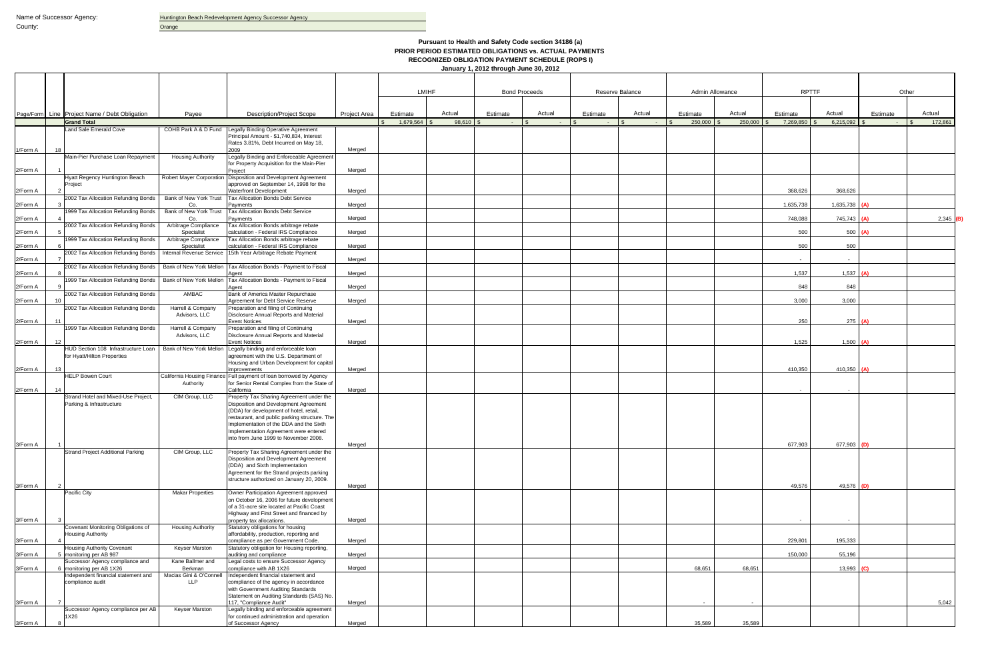|          |    |                                                                 |                                    |                                                                                                    |              |                | <b>LMIHF</b> |             | <b>Bond Proceeds</b> |          | Reserve Balance |                           | <b>Admin Allowance</b> | <b>RPTTF</b> |                 | Other      |                         |
|----------|----|-----------------------------------------------------------------|------------------------------------|----------------------------------------------------------------------------------------------------|--------------|----------------|--------------|-------------|----------------------|----------|-----------------|---------------------------|------------------------|--------------|-----------------|------------|-------------------------|
|          |    |                                                                 |                                    |                                                                                                    |              |                |              |             |                      |          |                 |                           |                        |              |                 |            |                         |
|          |    | Page/Form Line Project Name / Debt Obligation                   | Payee                              | <b>Description/Project Scope</b>                                                                   | Project Area | Estimate       | Actual       | Estimate    | Actual               | Estimate | Actual          | Estimate                  | Actual                 | Estimate     | Actual          | Estimate   | Actual                  |
|          |    | <b>Grand Total</b><br>Land Sale Emerald Cove                    | COHB Park A & D Fund               | Legally Binding Operative Agreement                                                                |              | $1,679,564$ \$ | 98,610       | $ \sqrt{3}$ | $\sim$               | $-1$ s   | $\sim 10^{-1}$  | 250,000<br>$\blacksquare$ | 250,000                | 7,269,850    | 6,215,092       | $\sim$ $-$ | 172,861<br>$\mathsf{R}$ |
|          |    |                                                                 |                                    | Principal Amount - \$1,740,834, Interest<br>Rates 3.81%, Debt Incurred on May 18,                  |              |                |              |             |                      |          |                 |                           |                        |              |                 |            |                         |
| 1/Form A |    |                                                                 |                                    | 2009                                                                                               | Meraed       |                |              |             |                      |          |                 |                           |                        |              |                 |            |                         |
|          |    | Main-Pier Purchase Loan Repayment                               | <b>Housing Authority</b>           | Legally Binding and Enforceable Agreement<br>for Property Acquisition for the Main-Pier            |              |                |              |             |                      |          |                 |                           |                        |              |                 |            |                         |
| 2/Form A |    | <b>Hyatt Regency Huntington Beach</b><br>Project                | <b>Robert Mayer Corporation</b>    | Project<br>Disposition and Development Agreement<br>approved on September 14, 1998 for the         | Merged       |                |              |             |                      |          |                 |                           |                        |              |                 |            |                         |
| 2/Form A |    |                                                                 |                                    | <b>Waterfront Development</b>                                                                      | Merged       |                |              |             |                      |          |                 |                           |                        | 368,626      | 368,626         |            |                         |
| 2/Form A |    | 2002 Tax Allocation Refunding Bonds                             | Bank of New York Trust<br>Co.      | Tax Allocation Bonds Debt Service<br>Payments                                                      | Merged       |                |              |             |                      |          |                 |                           |                        | 1,635,738    | $1,635,738$ (A) |            |                         |
|          |    | 1999 Tax Allocation Refunding Bonds                             | Bank of New York Trust             | Tax Allocation Bonds Debt Service                                                                  | Meraed       |                |              |             |                      |          |                 |                           |                        | 748,088      | 745,743 (A)     |            |                         |
| 2/Form A |    | 2002 Tax Allocation Refunding Bonds                             | Co<br>Arbitrage Compliance         | Payments<br>Tax Allocation Bonds arbitrage rebate                                                  |              |                |              |             |                      |          |                 |                           |                        |              |                 |            | 2,345                   |
| 2/Form A |    |                                                                 | Specialist                         | calculation - Federal IRS Compliance                                                               | Merged       |                |              |             |                      |          |                 |                           |                        | 500          | 500 $(A)$       |            |                         |
| 2/Form A |    | 1999 Tax Allocation Refunding Bonds                             | Arbitrage Compliance<br>Specialist | Tax Allocation Bonds arbitrage rebate<br>calculation - Federal IRS Compliance                      | Merged       |                |              |             |                      |          |                 |                           |                        | 500          | 500             |            |                         |
|          |    | 2002 Tax Allocation Refunding Bonds                             | Internal Revenue Service           | 15th Year Arbitrage Rebate Payment                                                                 | Merged       |                |              |             |                      |          |                 |                           |                        |              |                 |            |                         |
| 2/Form A |    | 2002 Tax Allocation Refunding Bonds   Bank of New York Mellon   |                                    | Tax Allocation Bonds - Payment to Fiscal                                                           |              |                |              |             |                      |          |                 |                           |                        | $\sim$       | $\sim$          |            |                         |
| 2/Form A |    | 1999 Tax Allocation Refunding Bonds                             | Bank of New York Mellon            | Tax Allocation Bonds - Payment to Fiscal                                                           | Merged       |                |              |             |                      |          |                 |                           |                        | 1,537        | $1,537$ (A)     |            |                         |
| 2/Form A |    |                                                                 |                                    | Agent                                                                                              | Merged       |                |              |             |                      |          |                 |                           |                        | 848          | 848             |            |                         |
| 2/Form A |    | 2002 Tax Allocation Refunding Bonds                             | AMBAC                              | Bank of America Master Repurchase<br>Agreement for Debt Service Reserve                            | Merged       |                |              |             |                      |          |                 |                           |                        | 3,000        | 3,000           |            |                         |
|          |    | 2002 Tax Allocation Refunding Bonds                             | Harrell & Company<br>Advisors, LLC | Preparation and filing of Continuing<br>Disclosure Annual Reports and Material                     |              |                |              |             |                      |          |                 |                           |                        |              |                 |            |                         |
| 2/Form A |    |                                                                 |                                    | <b>Event Notices</b>                                                                               | Merged       |                |              |             |                      |          |                 |                           |                        | 250          | $275$ (A)       |            |                         |
|          |    | 1999 Tax Allocation Refunding Bonds                             | Harrell & Company<br>Advisors, LLC | Preparation and filing of Continuing<br>Disclosure Annual Reports and Material                     |              |                |              |             |                      |          |                 |                           |                        |              |                 |            |                         |
| 2/Form A | 12 |                                                                 |                                    | <b>Event Notices</b>                                                                               | Merged       |                |              |             |                      |          |                 |                           |                        | 1,525        | $1,500$ (A)     |            |                         |
|          |    | HUD Section 108 Infrastructure Loan                             | Bank of New York Mellon            | Legally binding and enforceable loan                                                               |              |                |              |             |                      |          |                 |                           |                        |              |                 |            |                         |
| 2/Form A | 13 | for Hyatt/Hilton Properties                                     |                                    | agreement with the U.S. Department of<br>Housing and Urban Development for capital<br>improvements | Merged       |                |              |             |                      |          |                 |                           |                        | 410,350      | 410,350 $(A)$   |            |                         |
|          |    | <b>HELP Bowen Court</b>                                         |                                    | California Housing Finance Full payment of loan borrowed by Agency                                 |              |                |              |             |                      |          |                 |                           |                        |              |                 |            |                         |
| 2/Form A | 14 |                                                                 | Authority                          | for Senior Rental Complex from the State of<br>California                                          | Merged       |                |              |             |                      |          |                 |                           |                        | $\sim$       |                 |            |                         |
|          |    | Strand Hotel and Mixed-Use Project.<br>Parking & Infrastructure | CIM Group, LLC                     | Property Tax Sharing Agreement under the<br>Disposition and Development Agreement                  |              |                |              |             |                      |          |                 |                           |                        |              |                 |            |                         |
|          |    |                                                                 |                                    | (DDA) for development of hotel, retail,                                                            |              |                |              |             |                      |          |                 |                           |                        |              |                 |            |                         |
|          |    |                                                                 |                                    | restaurant, and public parking structure. The                                                      |              |                |              |             |                      |          |                 |                           |                        |              |                 |            |                         |
|          |    |                                                                 |                                    | Implementation of the DDA and the Sixth<br>Implementation Agreement were entered                   |              |                |              |             |                      |          |                 |                           |                        |              |                 |            |                         |
| 3/Form A |    |                                                                 |                                    | nto from June 1999 to November 2008.                                                               | Merged       |                |              |             |                      |          |                 |                           |                        | 677,903      | 677,903 (D)     |            |                         |
|          |    | Strand Project Additional Parking                               | CIM Group, LLC                     | Property Tax Sharing Agreement under the                                                           |              |                |              |             |                      |          |                 |                           |                        |              |                 |            |                         |
|          |    |                                                                 |                                    | Disposition and Development Agreement<br>(DDA) and Sixth Implementation                            |              |                |              |             |                      |          |                 |                           |                        |              |                 |            |                         |
|          |    |                                                                 |                                    | Agreement for the Strand projects parking                                                          |              |                |              |             |                      |          |                 |                           |                        |              |                 |            |                         |
|          |    |                                                                 |                                    | structure authorized on January 20, 2009.                                                          |              |                |              |             |                      |          |                 |                           |                        |              |                 |            |                         |
| 3/Form A |    | Pacific City                                                    | <b>Makar Properties</b>            | Owner Participation Agreement approved                                                             | Merged       |                |              |             |                      |          |                 |                           |                        | 49,576       | 49,576 (D)      |            |                         |
|          |    |                                                                 |                                    | on October 16, 2006 for future development                                                         |              |                |              |             |                      |          |                 |                           |                        |              |                 |            |                         |
|          |    |                                                                 |                                    | of a 31-acre site located at Pacific Coast<br>Highway and First Street and financed by             |              |                |              |             |                      |          |                 |                           |                        |              |                 |            |                         |
| 3/Form A |    |                                                                 |                                    | property tax allocations.                                                                          | Merged       |                |              |             |                      |          |                 |                           |                        | $\sim$       | $\sim$          |            |                         |
|          |    | Covenant Monitoring Obligations of<br><b>Housing Authority</b>  | <b>Housing Authority</b>           | Statutory obligations for housing<br>affordability, production, reporting and                      |              |                |              |             |                      |          |                 |                           |                        |              |                 |            |                         |
| 3/Form A |    |                                                                 |                                    | compliance as per Government Code.                                                                 | Merged       |                |              |             |                      |          |                 |                           |                        | 229,801      | 195.333         |            |                         |
| 3/Form A |    | <b>Housing Authority Covenant</b><br>5 monitoring per AB 987    | Keyser Marston                     | Statutory obligation for Housing reporting,<br>auditing and compliance                             | Merged       |                |              |             |                      |          |                 |                           |                        | 150,000      | 55,196          |            |                         |
|          |    | Successor Agency compliance and<br>6 monitoring per AB 1X26     | Kane Ballmer and<br>Berkman        | Legal costs to ensure Successor Agency<br>compliance with AB 1X26                                  | Merged       |                |              |             |                      |          |                 | 68,651                    | 68,651                 |              | 13,993 $(C)$    |            |                         |
| 3/Form A |    | Independent financial statement and                             | Macias Gini & O'Connell            | Independent financial statement and                                                                |              |                |              |             |                      |          |                 |                           |                        |              |                 |            |                         |
|          |    | compliance audit                                                | <b>LLP</b>                         | compliance of the agency in accordance<br>with Government Auditing Standards                       |              |                |              |             |                      |          |                 |                           |                        |              |                 |            |                         |
|          |    |                                                                 |                                    | Statement on Auditing Standards (SAS) No.                                                          |              |                |              |             |                      |          |                 |                           |                        |              |                 |            |                         |
| 3/Form A |    | Successor Agency compliance per AB                              | Keyser Marston                     | 117, "Compliance Audit"<br>Legally binding and enforceable agreement                               | Merged       |                |              |             |                      |          |                 | $\sim$                    |                        |              |                 |            | 5,042                   |
|          |    | 1X26                                                            |                                    | for continued administration and operation                                                         |              |                |              |             |                      |          |                 |                           |                        |              |                 |            |                         |
| 3/Form A |    |                                                                 |                                    | of Successor Agency                                                                                | Merged       |                |              |             |                      |          |                 | 35,589                    | 35,589                 |              |                 |            |                         |

### **Pursuant to Health and Safety Code section 34186 (a) PRIOR PERIOD ESTIMATED OBLIGATIONS vs. ACTUAL PAYMENTS RECOGNIZED OBLIGATION PAYMENT SCHEDULE (ROPS I)**

**January 1, 2012 through June 30, 2012**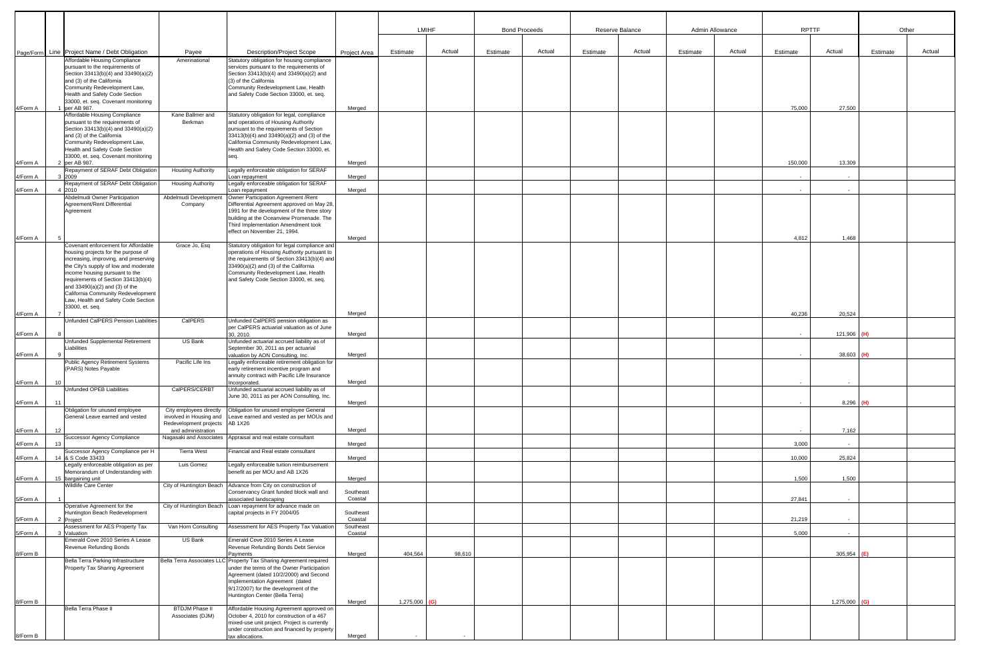|          |    |                                                                                |                                                      |                                                                                         |                      | <b>LMIHF</b>    |        |          | <b>Bond Proceeds</b> | Reserve Balance |        |          | Admin Allowance | <b>RPTTF</b> |           | Other    |        |
|----------|----|--------------------------------------------------------------------------------|------------------------------------------------------|-----------------------------------------------------------------------------------------|----------------------|-----------------|--------|----------|----------------------|-----------------|--------|----------|-----------------|--------------|-----------|----------|--------|
|          |    |                                                                                |                                                      |                                                                                         |                      |                 |        |          |                      |                 |        |          |                 |              |           |          |        |
|          |    | Page/Form Line Project Name / Debt Obligation                                  | Payee                                                | <b>Description/Project Scope</b>                                                        | Project Area         | Estimate        | Actual | Estimate | Actual               | Estimate        | Actual | Estimate | Actual          | Estimate     | Actual    | Estimate | Actual |
|          |    | Affordable Housing Compliance                                                  | Amerinational                                        | Statutory obligation for housing compliance                                             |                      |                 |        |          |                      |                 |        |          |                 |              |           |          |        |
|          |    | pursuant to the requirements of<br>Section 33413(b)(4) and 33490(a)(2)         |                                                      | services pursuant to the requirements of<br>Section 33413(b)(4) and 33490(a)(2) and     |                      |                 |        |          |                      |                 |        |          |                 |              |           |          |        |
|          |    | and (3) of the California                                                      |                                                      | (3) of the California                                                                   |                      |                 |        |          |                      |                 |        |          |                 |              |           |          |        |
|          |    | Community Redevelopment Law,<br>Health and Safety Code Section                 |                                                      | Community Redevelopment Law, Health<br>and Safety Code Section 33000, et. seq.          |                      |                 |        |          |                      |                 |        |          |                 |              |           |          |        |
|          |    | 33000, et. seq. Covenant monitoring                                            |                                                      |                                                                                         |                      |                 |        |          |                      |                 |        |          |                 |              |           |          |        |
| 4/Form A |    | 1 per AB 987.<br>Affordable Housing Compliance                                 | Kane Ballmer and                                     | Statutory obligation for legal, compliance                                              | Merged               |                 |        |          |                      |                 |        |          |                 | 75,000       | 27,500    |          |        |
|          |    | pursuant to the requirements of                                                | Berkman                                              | and operations of Housing Authority                                                     |                      |                 |        |          |                      |                 |        |          |                 |              |           |          |        |
|          |    | Section 33413(b)(4) and 33490(a)(2)<br>and (3) of the California               |                                                      | pursuant to the requirements of Section<br>33413(b)(4) and 33490(a)(2) and (3) of the   |                      |                 |        |          |                      |                 |        |          |                 |              |           |          |        |
|          |    | Community Redevelopment Law,                                                   |                                                      | California Community Redevelopment Law,                                                 |                      |                 |        |          |                      |                 |        |          |                 |              |           |          |        |
|          |    | Health and Safety Code Section<br>33000, et. seq. Covenant monitoring          |                                                      | Health and Safety Code Section 33000, et.<br>seq.                                       |                      |                 |        |          |                      |                 |        |          |                 |              |           |          |        |
| 4/Form A |    | 2 per AB 987.                                                                  |                                                      |                                                                                         | Merged               |                 |        |          |                      |                 |        |          |                 | 150,000      | 13,309    |          |        |
| 4/Form A |    | Repayment of SERAF Debt Obligation<br>3 2009                                   | <b>Housing Authority</b>                             | Legally enforceable obligation for SERAF<br>Loan repayment                              | Merged               |                 |        |          |                      |                 |        |          |                 | $\sim$       | $\sim$    |          |        |
|          |    | Repayment of SERAF Debt Obligation                                             | <b>Housing Authority</b>                             | Legally enforceable obligation for SERAF                                                |                      |                 |        |          |                      |                 |        |          |                 |              |           |          |        |
| 4/Form A |    | 4 2010<br>Abdelmudi Owner Participation                                        |                                                      | Loan repayment<br>Owner Participation Agreement / Rent                                  | Merged               |                 |        |          |                      |                 |        |          |                 | $\sim$       | $\sim$    |          |        |
|          |    | Agreement/Rent Differential                                                    | Abdelmudi Development<br>Company                     | Differential Agreement approved on May 28,                                              |                      |                 |        |          |                      |                 |        |          |                 |              |           |          |        |
|          |    | Agreement                                                                      |                                                      | 1991 for the development of the three story                                             |                      |                 |        |          |                      |                 |        |          |                 |              |           |          |        |
|          |    |                                                                                |                                                      | building at the Oceanview Promenade. The<br>Third Implementation Amendment took         |                      |                 |        |          |                      |                 |        |          |                 |              |           |          |        |
|          |    |                                                                                |                                                      | effect on November 21, 1994.                                                            |                      |                 |        |          |                      |                 |        |          |                 |              |           |          |        |
| 4/Form A |    | Covenant enforcement for Affordable                                            | Grace Jo, Esq                                        | Statutory obligation for legal compliance and                                           | Merged               |                 |        |          |                      |                 |        |          |                 | 4,812        | 1,468     |          |        |
|          |    | housing projects for the purpose of                                            |                                                      | operations of Housing Authority pursuant to                                             |                      |                 |        |          |                      |                 |        |          |                 |              |           |          |        |
|          |    | increasing, improving, and preserving<br>the City's supply of low and moderate |                                                      | the requirements of Section 33413(b)(4) and<br>33490(a)(2) and (3) of the California    |                      |                 |        |          |                      |                 |        |          |                 |              |           |          |        |
|          |    | income housing pursuant to the                                                 |                                                      | Community Redevelopment Law, Health                                                     |                      |                 |        |          |                      |                 |        |          |                 |              |           |          |        |
|          |    | requirements of Section 33413(b)(4)<br>and 33490(a)(2) and (3) of the          |                                                      | and Safety Code Section 33000, et. seq.                                                 |                      |                 |        |          |                      |                 |        |          |                 |              |           |          |        |
|          |    | California Community Redevelopment                                             |                                                      |                                                                                         |                      |                 |        |          |                      |                 |        |          |                 |              |           |          |        |
|          |    | Law, Health and Safety Code Section<br>33000, et. seq.                         |                                                      |                                                                                         |                      |                 |        |          |                      |                 |        |          |                 |              |           |          |        |
| 4/Form A |    |                                                                                |                                                      |                                                                                         | Merged               |                 |        |          |                      |                 |        |          |                 | 40,236       | 20,524    |          |        |
|          |    | <b>Unfunded CalPERS Pension Liabilities</b>                                    | CalPERS                                              | Unfunded CalPERS pension obligation as<br>per CaIPERS actuarial valuation as of June    |                      |                 |        |          |                      |                 |        |          |                 |              |           |          |        |
| 4/Form A |    |                                                                                |                                                      | 30, 2010.                                                                               | Merged               |                 |        |          |                      |                 |        |          |                 | $\sim$       | 121,906   |          |        |
|          |    | Unfunded Supplemental Retirement<br>iabilities                                 | US Bank                                              | Unfunded actuarial accrued liability as of<br>September 30, 2011 as per actuarial       |                      |                 |        |          |                      |                 |        |          |                 |              |           |          |        |
| 4/Form A |    |                                                                                |                                                      | valuation by AON Consulting, Inc.                                                       | Merged               |                 |        |          |                      |                 |        |          |                 | $\sim$       | 38,603    | (H)      |        |
|          |    | Public Agency Retirement Systems<br>(PARS) Notes Payable                       | Pacific Life Ins                                     | Legally enforceable retirement obligation for<br>early retirement incentive program and |                      |                 |        |          |                      |                 |        |          |                 |              |           |          |        |
|          |    |                                                                                |                                                      | annuity contract with Pacific Life Insurance                                            |                      |                 |        |          |                      |                 |        |          |                 |              |           |          |        |
| 4/Form A | 10 | Unfunded OPEB Liabilities                                                      | CalPERS/CERBT                                        | Incorporated.<br>Unfunded actuarial accrued liability as of                             | Merged               |                 |        |          |                      |                 |        |          |                 |              |           |          |        |
|          |    |                                                                                |                                                      | June 30, 2011 as per AON Consulting, Inc.                                               |                      |                 |        |          |                      |                 |        |          |                 |              |           |          |        |
| 4/Form A | 11 | Obligation for unused employee                                                 | City employees directly                              | Obligation for unused employee General                                                  | Merged               |                 |        |          |                      |                 |        |          |                 |              | 8,296     | (H)      |        |
|          |    | General Leave earned and vested                                                | involved in Housing and                              | Leave earned and vested as per MOUs and                                                 |                      |                 |        |          |                      |                 |        |          |                 |              |           |          |        |
| 4/Form A | 12 |                                                                                | Redevelopment projects AB 1X26<br>and administration |                                                                                         | Merged               |                 |        |          |                      |                 |        |          |                 | $\sim$       | 7,162     |          |        |
|          |    | <b>Successor Agency Compliance</b>                                             |                                                      | Nagasaki and Associates Appraisal and real estate consultant                            |                      |                 |        |          |                      |                 |        |          |                 |              |           |          |        |
| 4/Form A | 13 | Successor Agency Compliance per H                                              | <b>Tierra West</b>                                   | Financial and Real estate consultant                                                    | Merged               |                 |        |          |                      |                 |        |          |                 | 3,000        | $\sim$    |          |        |
| 4/Form A |    | 14 & S Code 33433                                                              |                                                      |                                                                                         | Merged               |                 |        |          |                      |                 |        |          |                 | 10,000       | 25,824    |          |        |
|          |    | Legally enforceable obligation as per<br>Memorandum of Understanding with      | Luis Gomez                                           | Legally enforceable tuition reimbursement<br>benefit as per MOU and AB 1X26             |                      |                 |        |          |                      |                 |        |          |                 |              |           |          |        |
| 4/Form A |    | 15 bargaining unit                                                             |                                                      |                                                                                         | Merged               |                 |        |          |                      |                 |        |          |                 | 1,500        | 1,500     |          |        |
|          |    | <b>Wildlife Care Center</b>                                                    | City of Huntington Beach                             | Advance from City on construction of<br>Conservancy Grant funded block wall and         | Southeast            |                 |        |          |                      |                 |        |          |                 |              |           |          |        |
| 5/Form A |    |                                                                                |                                                      | associated landscaping                                                                  | Coastal              |                 |        |          |                      |                 |        |          |                 | 27,841       | $\sim$    |          |        |
|          |    | Operative Agreement for the<br>Huntington Beach Redevelopment                  | City of Huntington Beach                             | Loan repayment for advance made on<br>capital projects in FY 2004/05                    | Southeast            |                 |        |          |                      |                 |        |          |                 |              |           |          |        |
| 5/Form A |    | 2 Project                                                                      |                                                      |                                                                                         | Coastal              |                 |        |          |                      |                 |        |          |                 | 21,219       |           |          |        |
| 5/Form A |    | Assessment for AES Property Tax<br>3 Valuation                                 | Van Horn Consulting                                  | Assessment for AES Property Tax Valuation                                               | Southeast<br>Coastal |                 |        |          |                      |                 |        |          |                 | 5,000        | $\sim$    |          |        |
|          |    | Emerald Cove 2010 Series A Lease                                               | US Bank                                              | Emerald Cove 2010 Series A Lease                                                        |                      |                 |        |          |                      |                 |        |          |                 |              |           |          |        |
| 8/Form B |    | Revenue Refunding Bonds                                                        |                                                      | Revenue Refunding Bonds Debt Service<br>Payments                                        | Merged               | 404,564         | 98,610 |          |                      |                 |        |          |                 |              | 305,954   |          |        |
|          |    | Bella Terra Parking Infrastructure                                             |                                                      | Bella Terra Associates LLC Property Tax Sharing Agreement required                      |                      |                 |        |          |                      |                 |        |          |                 |              |           |          |        |
|          |    | Property Tax Sharing Agreement                                                 |                                                      | under the terms of the Owner Participation<br>Agreement (dated 10/2/2000) and Second    |                      |                 |        |          |                      |                 |        |          |                 |              |           |          |        |
|          |    |                                                                                |                                                      | Implementation Agreement (dated                                                         |                      |                 |        |          |                      |                 |        |          |                 |              |           |          |        |
|          |    |                                                                                |                                                      | 9/17/2007) for the development of the<br>Huntington Center (Bella Terra)                |                      |                 |        |          |                      |                 |        |          |                 |              |           |          |        |
| 8/Form B |    |                                                                                |                                                      |                                                                                         | Merged               | $1,275,000$ (G) |        |          |                      |                 |        |          |                 |              | 1,275,000 | (G)      |        |
|          |    | Bella Terra Phase II                                                           | <b>BTDJM Phase II</b><br>Associates (DJM)            | Affordable Housing Agreement approved on<br>October 4, 2010 for construction of a 467   |                      |                 |        |          |                      |                 |        |          |                 |              |           |          |        |
|          |    |                                                                                |                                                      | mixed-use unit project. Project is currently                                            |                      |                 |        |          |                      |                 |        |          |                 |              |           |          |        |
| 8/Form B |    |                                                                                |                                                      | under construction and financed by property<br>tax allocations.                         | Merged               |                 |        |          |                      |                 |        |          |                 |              |           |          |        |